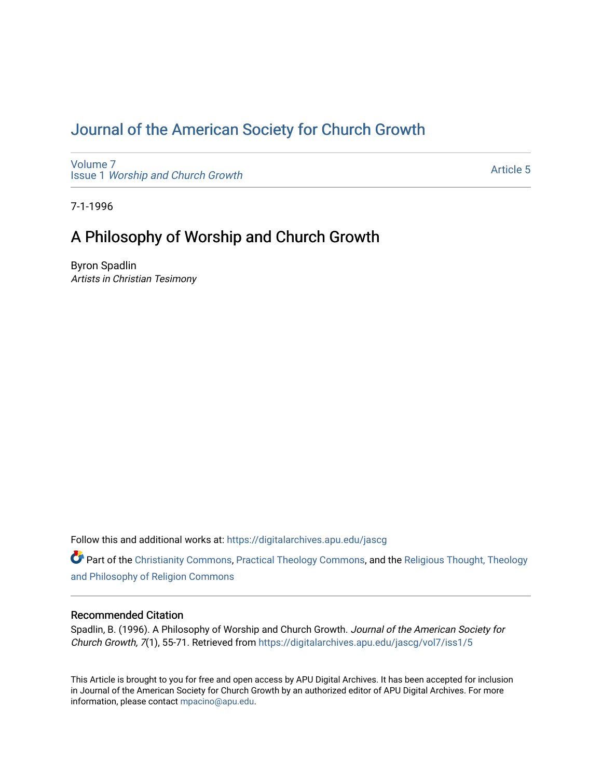# [Journal of the American Society for Church Growth](https://digitalarchives.apu.edu/jascg)

[Volume 7](https://digitalarchives.apu.edu/jascg/vol7) Issue 1 [Worship and Church Growth](https://digitalarchives.apu.edu/jascg/vol7/iss1)

[Article 5](https://digitalarchives.apu.edu/jascg/vol7/iss1/5) 

7-1-1996

# A Philosophy of Worship and Church Growth

Byron Spadlin Artists in Christian Tesimony

Follow this and additional works at: [https://digitalarchives.apu.edu/jascg](https://digitalarchives.apu.edu/jascg?utm_source=digitalarchives.apu.edu%2Fjascg%2Fvol7%2Fiss1%2F5&utm_medium=PDF&utm_campaign=PDFCoverPages) 

Part of the [Christianity Commons,](http://network.bepress.com/hgg/discipline/1181?utm_source=digitalarchives.apu.edu%2Fjascg%2Fvol7%2Fiss1%2F5&utm_medium=PDF&utm_campaign=PDFCoverPages) [Practical Theology Commons](http://network.bepress.com/hgg/discipline/1186?utm_source=digitalarchives.apu.edu%2Fjascg%2Fvol7%2Fiss1%2F5&utm_medium=PDF&utm_campaign=PDFCoverPages), and the [Religious Thought, Theology](http://network.bepress.com/hgg/discipline/544?utm_source=digitalarchives.apu.edu%2Fjascg%2Fvol7%2Fiss1%2F5&utm_medium=PDF&utm_campaign=PDFCoverPages)  [and Philosophy of Religion Commons](http://network.bepress.com/hgg/discipline/544?utm_source=digitalarchives.apu.edu%2Fjascg%2Fvol7%2Fiss1%2F5&utm_medium=PDF&utm_campaign=PDFCoverPages)

# Recommended Citation

Spadlin, B. (1996). A Philosophy of Worship and Church Growth. Journal of the American Society for Church Growth, 7(1), 55-71. Retrieved from [https://digitalarchives.apu.edu/jascg/vol7/iss1/5](https://digitalarchives.apu.edu/jascg/vol7/iss1/5?utm_source=digitalarchives.apu.edu%2Fjascg%2Fvol7%2Fiss1%2F5&utm_medium=PDF&utm_campaign=PDFCoverPages) 

This Article is brought to you for free and open access by APU Digital Archives. It has been accepted for inclusion in Journal of the American Society for Church Growth by an authorized editor of APU Digital Archives. For more information, please contact [mpacino@apu.edu](mailto:mpacino@apu.edu).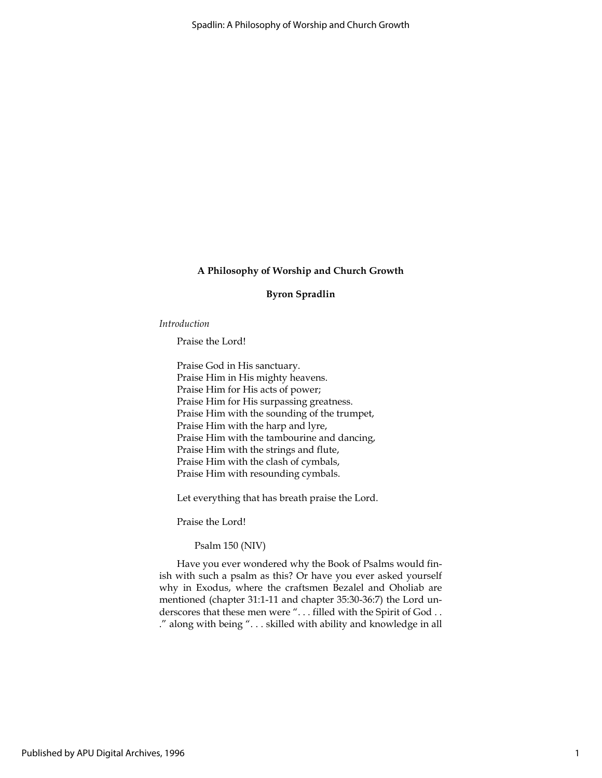#### Byron Spradlin

#### Introduction

Praise the Lord!

Praise God in His sanctuary. Praise Him in His mighty heavens. Praise Him for His acts of power; Praise Him for His surpassing greatness. Praise Him with the sounding of the trumpet, Praise Him with the harp and lyre, Praise Him with the tambourine and dancing, Praise Him with the strings and flute, Praise Him with the clash of cymbals, Praise Him with resounding cymbals.

Let everything that has breath praise the Lord.

Praise the Lord!

Psalm 150 (NIV)

Have you ever wondered why the Book of Psalms would finish with such a psalm as this? Or have you ever asked yourself why in Exodus, where the craftsmen Bezalel and Oholiab are mentioned (chapter 31:1-11 and chapter 35:30-36:7) the Lord underscores that these men were "... filled with the Spirit of God.. ." along with being ". . . skilled with ability and knowledge in all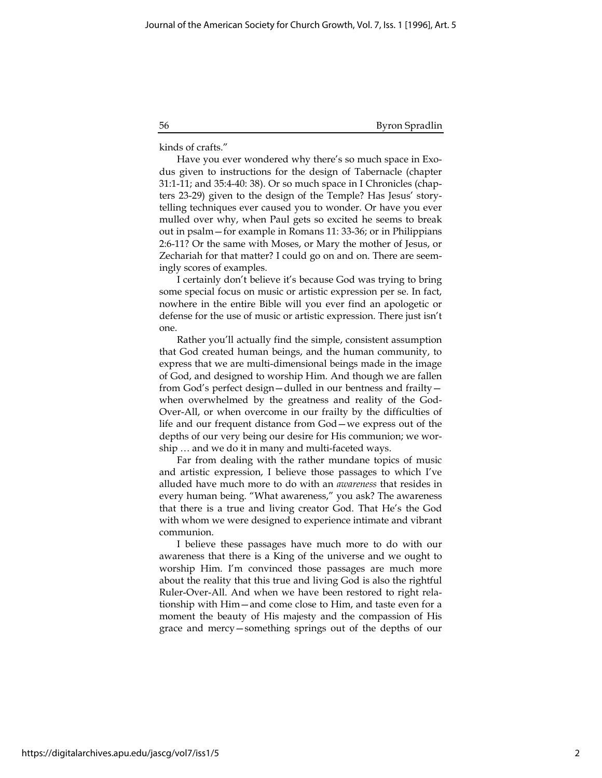56 Byron Spradlin

kinds of crafts."

Have you ever wondered why there's so much space in Exodus given to instructions for the design of Tabernacle (chapter 31:1-11; and 35:4-40: 38). Or so much space in I Chronicles (chapters 23-29) given to the design of the Temple? Has Jesus' storytelling techniques ever caused you to wonder. Or have you ever mulled over why, when Paul gets so excited he seems to break out in psalm—for example in Romans 11: 33-36; or in Philippians 2:6-11? Or the same with Moses, or Mary the mother of Jesus, or Zechariah for that matter? I could go on and on. There are seemingly scores of examples.

I certainly don't believe it's because God was trying to bring some special focus on music or artistic expression per se. In fact, nowhere in the entire Bible will you ever find an apologetic or defense for the use of music or artistic expression. There just isn't one.

Rather you'll actually find the simple, consistent assumption that God created human beings, and the human community, to express that we are multi-dimensional beings made in the image of God, and designed to worship Him. And though we are fallen from God's perfect design—dulled in our bentness and frailty when overwhelmed by the greatness and reality of the God-Over-All, or when overcome in our frailty by the difficulties of life and our frequent distance from God—we express out of the depths of our very being our desire for His communion; we worship … and we do it in many and multi-faceted ways.

Far from dealing with the rather mundane topics of music and artistic expression, I believe those passages to which I've alluded have much more to do with an awareness that resides in every human being. "What awareness," you ask? The awareness that there is a true and living creator God. That He's the God with whom we were designed to experience intimate and vibrant communion.

I believe these passages have much more to do with our awareness that there is a King of the universe and we ought to worship Him. I'm convinced those passages are much more about the reality that this true and living God is also the rightful Ruler-Over-All. And when we have been restored to right relationship with Him—and come close to Him, and taste even for a moment the beauty of His majesty and the compassion of His grace and mercy—something springs out of the depths of our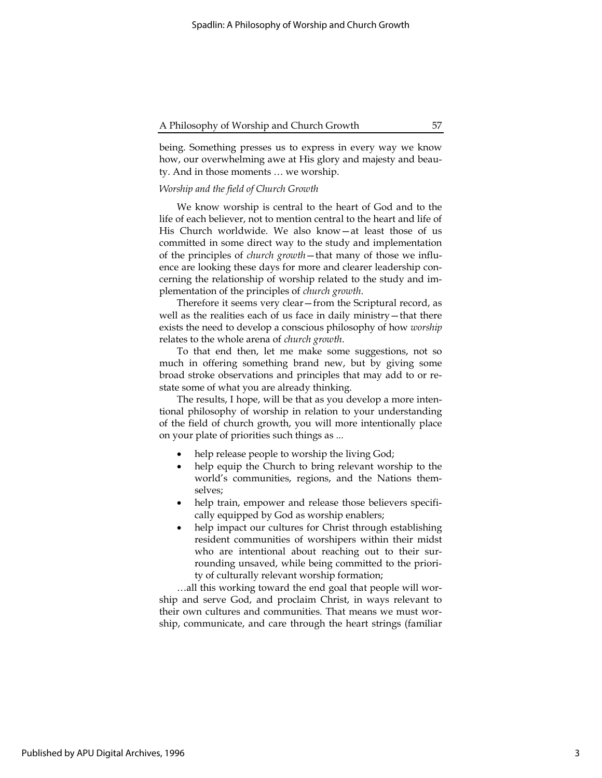being. Something presses us to express in every way we know how, our overwhelming awe at His glory and majesty and beauty. And in those moments … we worship.

## Worship and the field of Church Growth

We know worship is central to the heart of God and to the life of each believer, not to mention central to the heart and life of His Church worldwide. We also know—at least those of us committed in some direct way to the study and implementation of the principles of church growth—that many of those we influence are looking these days for more and clearer leadership concerning the relationship of worship related to the study and implementation of the principles of church growth.

Therefore it seems very clear—from the Scriptural record, as well as the realities each of us face in daily ministry—that there exists the need to develop a conscious philosophy of how worship relates to the whole arena of church growth.

To that end then, let me make some suggestions, not so much in offering something brand new, but by giving some broad stroke observations and principles that may add to or restate some of what you are already thinking.

The results, I hope, will be that as you develop a more intentional philosophy of worship in relation to your understanding of the field of church growth, you will more intentionally place on your plate of priorities such things as ...

- help release people to worship the living God;
- help equip the Church to bring relevant worship to the world's communities, regions, and the Nations themselves;
- help train, empower and release those believers specifically equipped by God as worship enablers;
- help impact our cultures for Christ through establishing resident communities of worshipers within their midst who are intentional about reaching out to their surrounding unsaved, while being committed to the priority of culturally relevant worship formation;

…all this working toward the end goal that people will worship and serve God, and proclaim Christ, in ways relevant to their own cultures and communities. That means we must worship, communicate, and care through the heart strings (familiar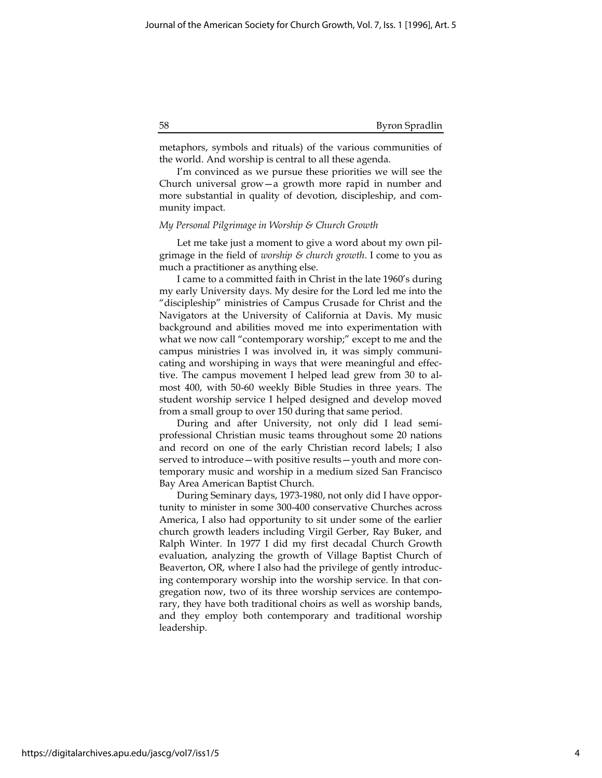#### 58 Byron Spradlin

metaphors, symbols and rituals) of the various communities of the world. And worship is central to all these agenda.

I'm convinced as we pursue these priorities we will see the Church universal grow—a growth more rapid in number and more substantial in quality of devotion, discipleship, and community impact.

## My Personal Pilgrimage in Worship & Church Growth

Let me take just a moment to give a word about my own pilgrimage in the field of worship  $\varepsilon$  church growth. I come to you as much a practitioner as anything else.

I came to a committed faith in Christ in the late 1960's during my early University days. My desire for the Lord led me into the "discipleship" ministries of Campus Crusade for Christ and the Navigators at the University of California at Davis. My music background and abilities moved me into experimentation with what we now call "contemporary worship;" except to me and the campus ministries I was involved in, it was simply communicating and worshiping in ways that were meaningful and effective. The campus movement I helped lead grew from 30 to almost 400, with 50-60 weekly Bible Studies in three years. The student worship service I helped designed and develop moved from a small group to over 150 during that same period.

During and after University, not only did I lead semiprofessional Christian music teams throughout some 20 nations and record on one of the early Christian record labels; I also served to introduce—with positive results—youth and more contemporary music and worship in a medium sized San Francisco Bay Area American Baptist Church.

During Seminary days, 1973-1980, not only did I have opportunity to minister in some 300-400 conservative Churches across America, I also had opportunity to sit under some of the earlier church growth leaders including Virgil Gerber, Ray Buker, and Ralph Winter. In 1977 I did my first decadal Church Growth evaluation, analyzing the growth of Village Baptist Church of Beaverton, OR, where I also had the privilege of gently introducing contemporary worship into the worship service. In that congregation now, two of its three worship services are contemporary, they have both traditional choirs as well as worship bands, and they employ both contemporary and traditional worship leadership.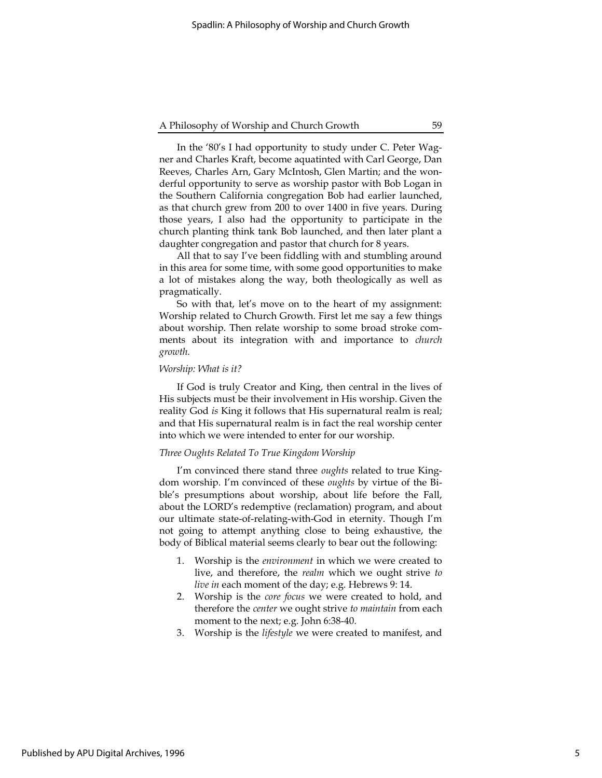In the '80's I had opportunity to study under C. Peter Wagner and Charles Kraft, become aquatinted with Carl George, Dan Reeves, Charles Arn, Gary McIntosh, Glen Martin; and the wonderful opportunity to serve as worship pastor with Bob Logan in the Southern California congregation Bob had earlier launched, as that church grew from 200 to over 1400 in five years. During those years, I also had the opportunity to participate in the church planting think tank Bob launched, and then later plant a daughter congregation and pastor that church for 8 years.

All that to say I've been fiddling with and stumbling around in this area for some time, with some good opportunities to make a lot of mistakes along the way, both theologically as well as pragmatically.

So with that, let's move on to the heart of my assignment: Worship related to Church Growth. First let me say a few things about worship. Then relate worship to some broad stroke comments about its integration with and importance to church growth.

## Worship: What is it?

If God is truly Creator and King, then central in the lives of His subjects must be their involvement in His worship. Given the reality God is King it follows that His supernatural realm is real; and that His supernatural realm is in fact the real worship center into which we were intended to enter for our worship.

#### Three Oughts Related To True Kingdom Worship

I'm convinced there stand three *oughts* related to true Kingdom worship. I'm convinced of these oughts by virtue of the Bible's presumptions about worship, about life before the Fall, about the LORD's redemptive (reclamation) program, and about our ultimate state-of-relating-with-God in eternity. Though I'm not going to attempt anything close to being exhaustive, the body of Biblical material seems clearly to bear out the following:

- 1. Worship is the environment in which we were created to live, and therefore, the realm which we ought strive to live in each moment of the day; e.g. Hebrews 9: 14.
- 2. Worship is the core focus we were created to hold, and therefore the *center* we ought strive to maintain from each moment to the next; e.g. John 6:38-40.
- 3. Worship is the lifestyle we were created to manifest, and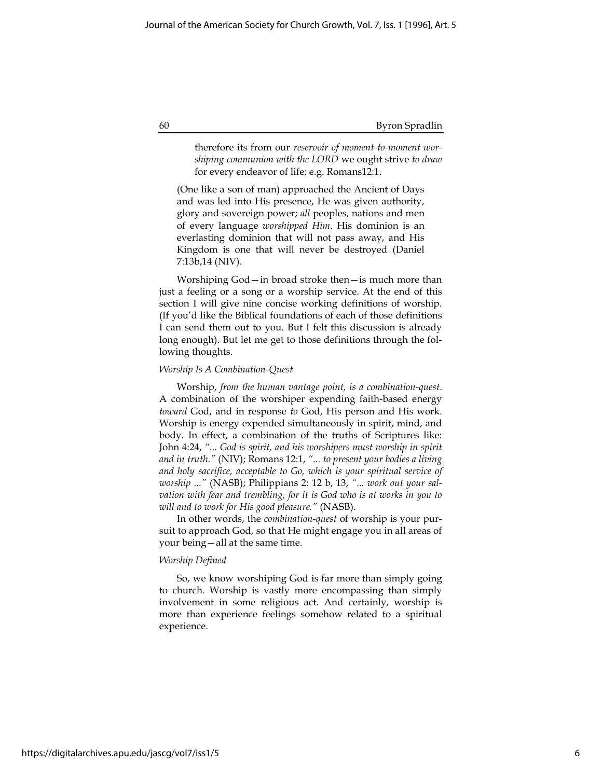#### 60 Byron Spradlin

therefore its from our reservoir of moment-to-moment worshiping communion with the LORD we ought strive to draw for every endeavor of life; e.g. Romans12:1.

(One like a son of man) approached the Ancient of Days and was led into His presence, He was given authority, glory and sovereign power; all peoples, nations and men of every language worshipped Him. His dominion is an everlasting dominion that will not pass away, and His Kingdom is one that will never be destroyed (Daniel 7:13b,14 (NIV).

Worshiping God—in broad stroke then—is much more than just a feeling or a song or a worship service. At the end of this section I will give nine concise working definitions of worship. (If you'd like the Biblical foundations of each of those definitions I can send them out to you. But I felt this discussion is already long enough). But let me get to those definitions through the following thoughts.

#### Worship Is A Combination-Quest

Worship, from the human vantage point, is a combination-quest. A combination of the worshiper expending faith-based energy toward God, and in response to God, His person and His work. Worship is energy expended simultaneously in spirit, mind, and body. In effect, a combination of the truths of Scriptures like: John 4:24, "... God is spirit, and his worshipers must worship in spirit and in truth." (NIV); Romans 12:1, "... to present your bodies a living and holy sacrifice, acceptable to Go, which is your spiritual service of worship ..." (NASB); Philippians 2: 12 b, 13, "... work out your salvation with fear and trembling, for it is God who is at works in you to will and to work for His good pleasure." (NASB).

In other words, the combination-quest of worship is your pursuit to approach God, so that He might engage you in all areas of your being—all at the same time.

## Worship Defined

So, we know worshiping God is far more than simply going to church. Worship is vastly more encompassing than simply involvement in some religious act. And certainly, worship is more than experience feelings somehow related to a spiritual experience.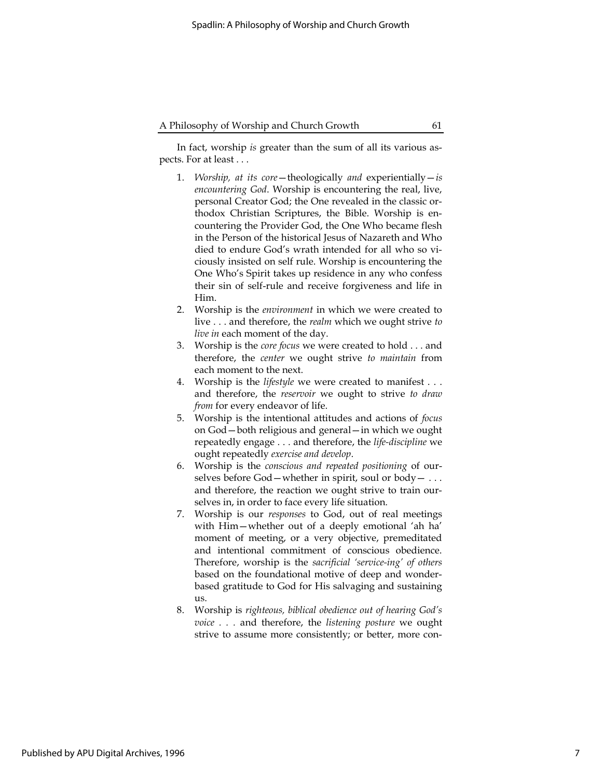In fact, worship is greater than the sum of all its various aspects. For at least . . .

- 1. Worship, at its core-theologically and experientially-is encountering God. Worship is encountering the real, live, personal Creator God; the One revealed in the classic orthodox Christian Scriptures, the Bible. Worship is encountering the Provider God, the One Who became flesh in the Person of the historical Jesus of Nazareth and Who died to endure God's wrath intended for all who so viciously insisted on self rule. Worship is encountering the One Who's Spirit takes up residence in any who confess their sin of self-rule and receive forgiveness and life in Him.
- 2. Worship is the environment in which we were created to live . . . and therefore, the *realm* which we ought strive to live in each moment of the day.
- 3. Worship is the core focus we were created to hold . . . and therefore, the center we ought strive to maintain from each moment to the next.
- 4. Worship is the lifestyle we were created to manifest . . . and therefore, the reservoir we ought to strive to draw from for every endeavor of life.
- 5. Worship is the intentional attitudes and actions of focus on God—both religious and general—in which we ought repeatedly engage . . . and therefore, the life-discipline we ought repeatedly exercise and develop.
- 6. Worship is the conscious and repeated positioning of ourselves before  $God$ —whether in spirit, soul or body— ... and therefore, the reaction we ought strive to train ourselves in, in order to face every life situation.
- 7. Worship is our responses to God, out of real meetings with Him—whether out of a deeply emotional 'ah ha' moment of meeting, or a very objective, premeditated and intentional commitment of conscious obedience. Therefore, worship is the sacrificial 'service-ing' of others based on the foundational motive of deep and wonderbased gratitude to God for His salvaging and sustaining us.
- 8. Worship is righteous, biblical obedience out of hearing God's voice . . . and therefore, the listening posture we ought strive to assume more consistently; or better, more con-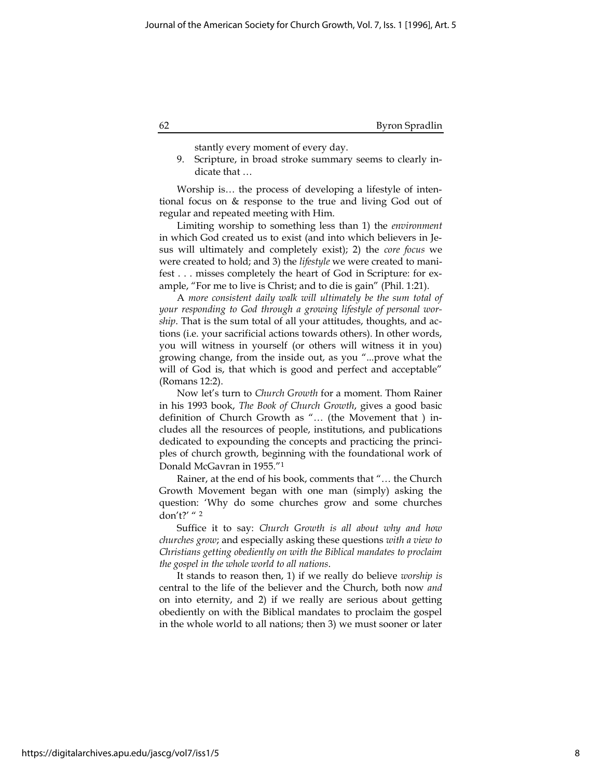stantly every moment of every day.

9. Scripture, in broad stroke summary seems to clearly indicate that …

Worship is… the process of developing a lifestyle of intentional focus on & response to the true and living God out of regular and repeated meeting with Him.

Limiting worship to something less than 1) the environment in which God created us to exist (and into which believers in Jesus will ultimately and completely exist); 2) the core focus we were created to hold; and 3) the lifestyle we were created to manifest . . . misses completely the heart of God in Scripture: for example, "For me to live is Christ; and to die is gain" (Phil. 1:21).

A more consistent daily walk will ultimately be the sum total of your responding to God through a growing lifestyle of personal worship. That is the sum total of all your attitudes, thoughts, and actions (i.e. your sacrificial actions towards others). In other words, you will witness in yourself (or others will witness it in you) growing change, from the inside out, as you "...prove what the will of God is, that which is good and perfect and acceptable" (Romans 12:2).

Now let's turn to Church Growth for a moment. Thom Rainer in his 1993 book, The Book of Church Growth, gives a good basic definition of Church Growth as "… (the Movement that ) includes all the resources of people, institutions, and publications dedicated to expounding the concepts and practicing the principles of church growth, beginning with the foundational work of Donald McGavran in 1955."<sup>1</sup>

Rainer, at the end of his book, comments that "… the Church Growth Movement began with one man (simply) asking the question: 'Why do some churches grow and some churches don't?' " <sup>2</sup>

Suffice it to say: Church Growth is all about why and how churches grow; and especially asking these questions with a view to Christians getting obediently on with the Biblical mandates to proclaim the gospel in the whole world to all nations.

It stands to reason then, 1) if we really do believe worship is central to the life of the believer and the Church, both now and on into eternity, and 2) if we really are serious about getting obediently on with the Biblical mandates to proclaim the gospel in the whole world to all nations; then 3) we must sooner or later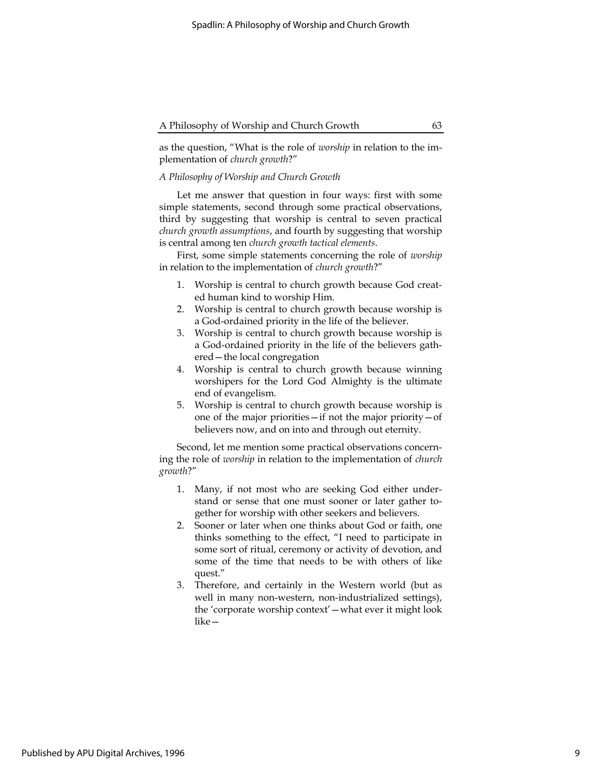as the question, "What is the role of worship in relation to the implementation of church growth?"

## A Philosophy of Worship and Church Growth

Let me answer that question in four ways: first with some simple statements, second through some practical observations, third by suggesting that worship is central to seven practical church growth assumptions, and fourth by suggesting that worship is central among ten church growth tactical elements.

First, some simple statements concerning the role of worship in relation to the implementation of church growth?"

- 1. Worship is central to church growth because God created human kind to worship Him.
- 2. Worship is central to church growth because worship is a God-ordained priority in the life of the believer.
- 3. Worship is central to church growth because worship is a God-ordained priority in the life of the believers gathered—the local congregation
- 4. Worship is central to church growth because winning worshipers for the Lord God Almighty is the ultimate end of evangelism.
- 5. Worship is central to church growth because worship is one of the major priorities—if not the major priority—of believers now, and on into and through out eternity.

Second, let me mention some practical observations concerning the role of worship in relation to the implementation of church growth?"

- 1. Many, if not most who are seeking God either understand or sense that one must sooner or later gather together for worship with other seekers and believers.
- 2. Sooner or later when one thinks about God or faith, one thinks something to the effect, "I need to participate in some sort of ritual, ceremony or activity of devotion, and some of the time that needs to be with others of like quest."
- 3. Therefore, and certainly in the Western world (but as well in many non-western, non-industrialized settings), the 'corporate worship context'—what ever it might look like—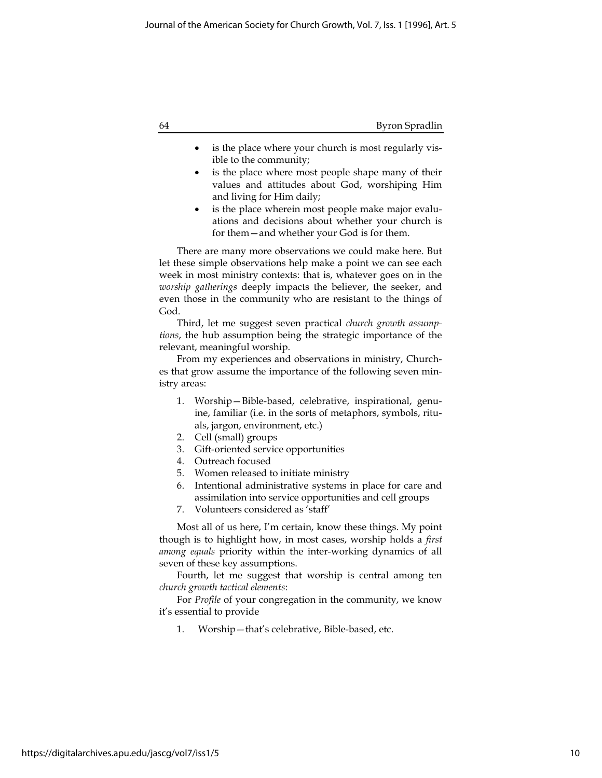| 64 | Byron Spradlin |
|----|----------------|
|    |                |

- is the place where your church is most regularly visible to the community;
- is the place where most people shape many of their values and attitudes about God, worshiping Him and living for Him daily;
- is the place wherein most people make major evaluations and decisions about whether your church is for them—and whether your God is for them.

There are many more observations we could make here. But let these simple observations help make a point we can see each week in most ministry contexts: that is, whatever goes on in the worship gatherings deeply impacts the believer, the seeker, and even those in the community who are resistant to the things of God.

Third, let me suggest seven practical church growth assumptions, the hub assumption being the strategic importance of the relevant, meaningful worship.

From my experiences and observations in ministry, Churches that grow assume the importance of the following seven ministry areas:

- 1. Worship—Bible-based, celebrative, inspirational, genuine, familiar (i.e. in the sorts of metaphors, symbols, rituals, jargon, environment, etc.)
- 2. Cell (small) groups
- 3. Gift-oriented service opportunities
- 4. Outreach focused
- 5. Women released to initiate ministry
- 6. Intentional administrative systems in place for care and assimilation into service opportunities and cell groups
- 7. Volunteers considered as 'staff'

Most all of us here, I'm certain, know these things. My point though is to highlight how, in most cases, worship holds a first among equals priority within the inter-working dynamics of all seven of these key assumptions.

Fourth, let me suggest that worship is central among ten church growth tactical elements:

For Profile of your congregation in the community, we know it's essential to provide

1. Worship—that's celebrative, Bible-based, etc.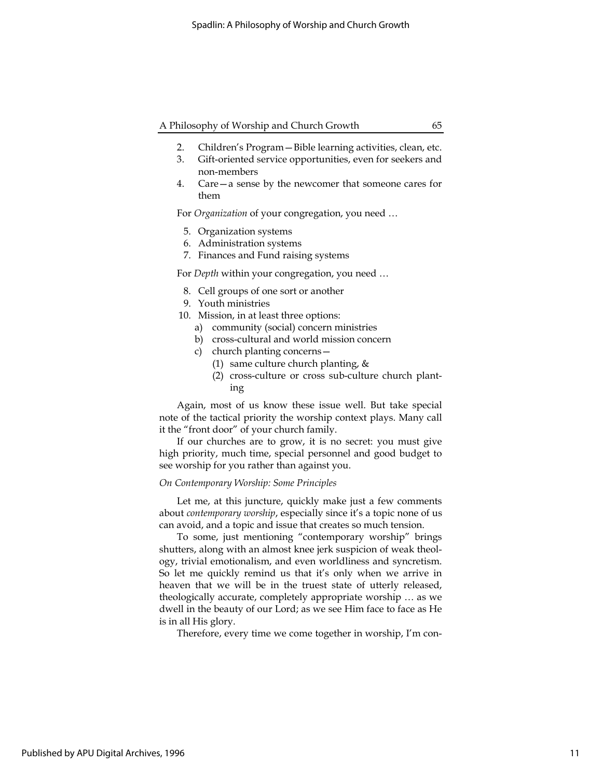- 2. Children's Program—Bible learning activities, clean, etc.
- 3. Gift-oriented service opportunities, even for seekers and non-members
- 4. Care—a sense by the newcomer that someone cares for them

For Organization of your congregation, you need …

- 5. Organization systems
- 6. Administration systems
- 7. Finances and Fund raising systems

For Depth within your congregation, you need …

- 8. Cell groups of one sort or another
- 9. Youth ministries
- 10. Mission, in at least three options:
	- a) community (social) concern ministries
	- b) cross-cultural and world mission concern
	- c) church planting concerns—
		- (1) same culture church planting, &
		- (2) cross-culture or cross sub-culture church planting

Again, most of us know these issue well. But take special note of the tactical priority the worship context plays. Many call it the "front door" of your church family.

If our churches are to grow, it is no secret: you must give high priority, much time, special personnel and good budget to see worship for you rather than against you.

## On Contemporary Worship: Some Principles

Let me, at this juncture, quickly make just a few comments about contemporary worship, especially since it's a topic none of us can avoid, and a topic and issue that creates so much tension.

To some, just mentioning "contemporary worship" brings shutters, along with an almost knee jerk suspicion of weak theology, trivial emotionalism, and even worldliness and syncretism. So let me quickly remind us that it's only when we arrive in heaven that we will be in the truest state of utterly released, theologically accurate, completely appropriate worship … as we dwell in the beauty of our Lord; as we see Him face to face as He is in all His glory.

Therefore, every time we come together in worship, I'm con-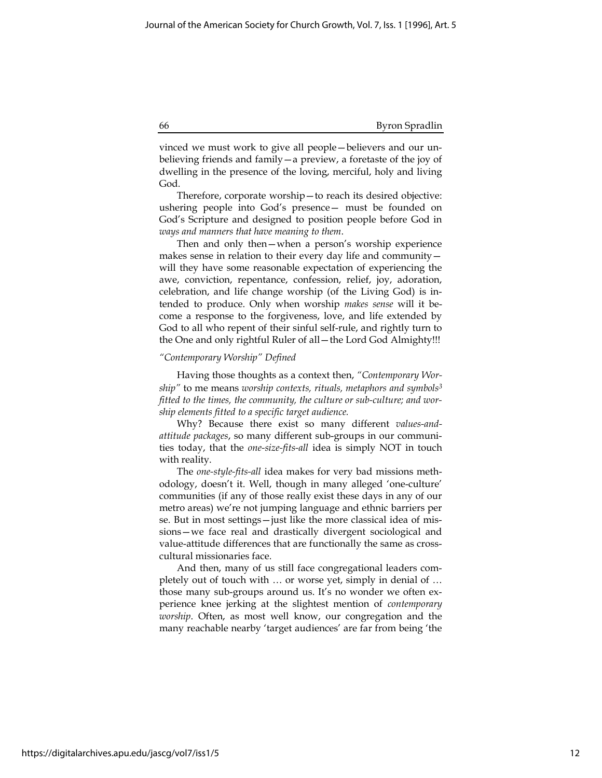#### 66 Byron Spradlin

vinced we must work to give all people—believers and our unbelieving friends and family—a preview, a foretaste of the joy of dwelling in the presence of the loving, merciful, holy and living God.

Therefore, corporate worship—to reach its desired objective: ushering people into God's presence— must be founded on God's Scripture and designed to position people before God in ways and manners that have meaning to them.

Then and only then—when a person's worship experience makes sense in relation to their every day life and community will they have some reasonable expectation of experiencing the awe, conviction, repentance, confession, relief, joy, adoration, celebration, and life change worship (of the Living God) is intended to produce. Only when worship makes sense will it become a response to the forgiveness, love, and life extended by God to all who repent of their sinful self-rule, and rightly turn to the One and only rightful Ruler of all—the Lord God Almighty!!!

#### "Contemporary Worship" Defined

Having those thoughts as a context then, "Contemporary Worship" to me means worship contexts, rituals, metaphors and symbols<sup>3</sup> fitted to the times, the community, the culture or sub-culture; and worship elements fitted to a specific target audience.

Why? Because there exist so many different values-andattitude packages, so many different sub-groups in our communities today, that the one-size-fits-all idea is simply NOT in touch with reality.

The one-style-fits-all idea makes for very bad missions methodology, doesn't it. Well, though in many alleged 'one-culture' communities (if any of those really exist these days in any of our metro areas) we're not jumping language and ethnic barriers per se. But in most settings—just like the more classical idea of missions—we face real and drastically divergent sociological and value-attitude differences that are functionally the same as crosscultural missionaries face.

And then, many of us still face congregational leaders completely out of touch with … or worse yet, simply in denial of … those many sub-groups around us. It's no wonder we often experience knee jerking at the slightest mention of contemporary worship. Often, as most well know, our congregation and the many reachable nearby 'target audiences' are far from being 'the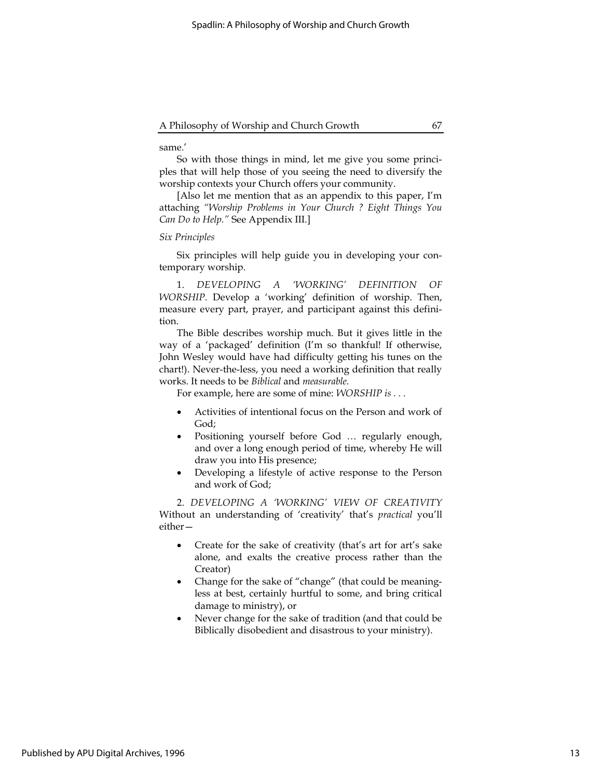## same.'

So with those things in mind, let me give you some principles that will help those of you seeing the need to diversify the worship contexts your Church offers your community.

[Also let me mention that as an appendix to this paper, I'm attaching "Worship Problems in Your Church ? Eight Things You Can Do to Help." See Appendix III.]

## Six Principles

Six principles will help guide you in developing your contemporary worship.

1. DEVELOPING A 'WORKING' DEFINITION OF WORSHIP. Develop a 'working' definition of worship. Then, measure every part, prayer, and participant against this definition.

The Bible describes worship much. But it gives little in the way of a 'packaged' definition (I'm so thankful! If otherwise, John Wesley would have had difficulty getting his tunes on the chart!). Never-the-less, you need a working definition that really works. It needs to be Biblical and measurable.

For example, here are some of mine: WORSHIP is . . .

- Activities of intentional focus on the Person and work of God;
- Positioning yourself before God … regularly enough, and over a long enough period of time, whereby He will draw you into His presence;
- Developing a lifestyle of active response to the Person and work of God;

2. DEVELOPING A 'WORKING' VIEW OF CREATIVITY Without an understanding of 'creativity' that's practical you'll either—

- Create for the sake of creativity (that's art for art's sake alone, and exalts the creative process rather than the Creator)
- Change for the sake of "change" (that could be meaningless at best, certainly hurtful to some, and bring critical damage to ministry), or
- Never change for the sake of tradition (and that could be Biblically disobedient and disastrous to your ministry).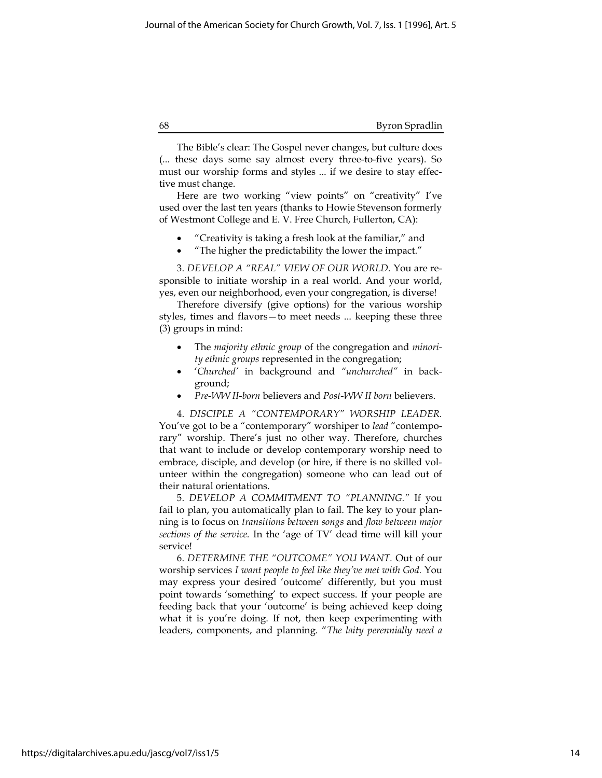The Bible's clear: The Gospel never changes, but culture does (... these days some say almost every three-to-five years). So must our worship forms and styles ... if we desire to stay effective must change.

Here are two working "view points" on "creativity" I've used over the last ten years (thanks to Howie Stevenson formerly of Westmont College and E. V. Free Church, Fullerton, CA):

- "Creativity is taking a fresh look at the familiar," and
- "The higher the predictability the lower the impact."

3. DEVELOP A "REAL" VIEW OF OUR WORLD. You are responsible to initiate worship in a real world. And your world, yes, even our neighborhood, even your congregation, is diverse!

Therefore diversify (give options) for the various worship styles, times and flavors—to meet needs ... keeping these three (3) groups in mind:

- The *majority ethnic group* of the congregation and *minori*ty ethnic groups represented in the congregation;
- 'Churched' in background and "unchurched" in background;
- Pre-WW II-born believers and Post-WW II born believers.

4. DISCIPLE A "CONTEMPORARY" WORSHIP LEADER. You've got to be a "contemporary" worshiper to lead "contemporary" worship. There's just no other way. Therefore, churches that want to include or develop contemporary worship need to embrace, disciple, and develop (or hire, if there is no skilled volunteer within the congregation) someone who can lead out of their natural orientations.

5. DEVELOP A COMMITMENT TO "PLANNING." If you fail to plan, you automatically plan to fail. The key to your planning is to focus on transitions between songs and flow between major sections of the service. In the 'age of TV' dead time will kill your service!

6. DETERMINE THE "OUTCOME" YOU WANT. Out of our worship services I want people to feel like they've met with God. You may express your desired 'outcome' differently, but you must point towards 'something' to expect success. If your people are feeding back that your 'outcome' is being achieved keep doing what it is you're doing. If not, then keep experimenting with leaders, components, and planning. "The laity perennially need a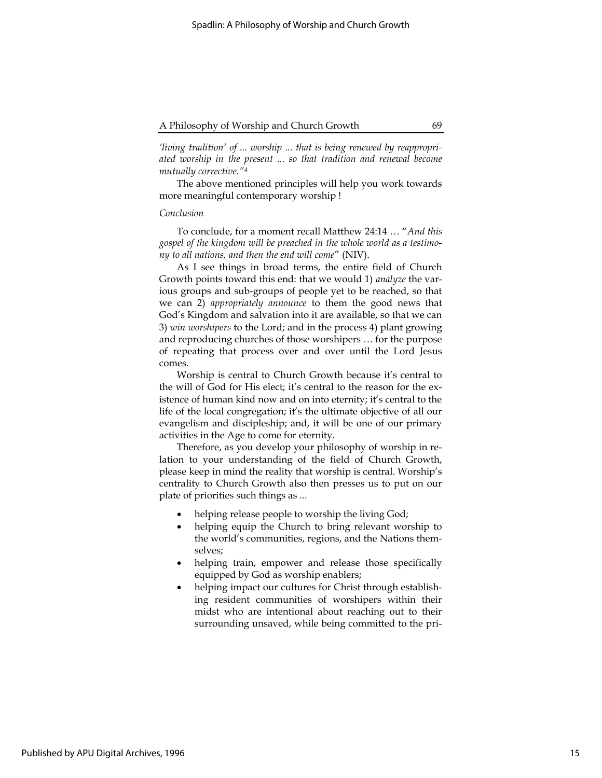'living tradition' of ... worship ... that is being renewed by reappropriated worship in the present ... so that tradition and renewal become mutually corrective."<sup>4</sup>

The above mentioned principles will help you work towards more meaningful contemporary worship !

## Conclusion

To conclude, for a moment recall Matthew 24:14 … "And this gospel of the kingdom will be preached in the whole world as a testimony to all nations, and then the end will come" (NIV).

As I see things in broad terms, the entire field of Church Growth points toward this end: that we would 1) analyze the various groups and sub-groups of people yet to be reached, so that we can 2) appropriately announce to them the good news that God's Kingdom and salvation into it are available, so that we can 3) win worshipers to the Lord; and in the process 4) plant growing and reproducing churches of those worshipers … for the purpose of repeating that process over and over until the Lord Jesus comes.

Worship is central to Church Growth because it's central to the will of God for His elect; it's central to the reason for the existence of human kind now and on into eternity; it's central to the life of the local congregation; it's the ultimate objective of all our evangelism and discipleship; and, it will be one of our primary activities in the Age to come for eternity.

Therefore, as you develop your philosophy of worship in relation to your understanding of the field of Church Growth, please keep in mind the reality that worship is central. Worship's centrality to Church Growth also then presses us to put on our plate of priorities such things as ...

- helping release people to worship the living God;
- helping equip the Church to bring relevant worship to the world's communities, regions, and the Nations themselves;
- helping train, empower and release those specifically equipped by God as worship enablers;
- helping impact our cultures for Christ through establishing resident communities of worshipers within their midst who are intentional about reaching out to their surrounding unsaved, while being committed to the pri-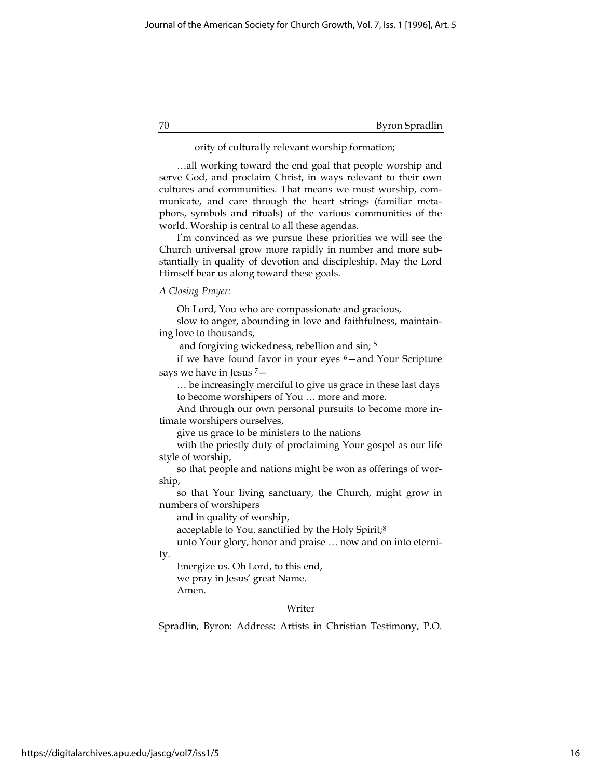#### 70 Byron Spradlin

## ority of culturally relevant worship formation;

…all working toward the end goal that people worship and serve God, and proclaim Christ, in ways relevant to their own cultures and communities. That means we must worship, communicate, and care through the heart strings (familiar metaphors, symbols and rituals) of the various communities of the world. Worship is central to all these agendas.

I'm convinced as we pursue these priorities we will see the Church universal grow more rapidly in number and more substantially in quality of devotion and discipleship. May the Lord Himself bear us along toward these goals.

#### A Closing Prayer:

Oh Lord, You who are compassionate and gracious,

slow to anger, abounding in love and faithfulness, maintaining love to thousands,

and forgiving wickedness, rebellion and sin; <sup>5</sup>

if we have found favor in your eyes  $6-$  and Your Scripture says we have in Jesus <sup>7</sup>—

… be increasingly merciful to give us grace in these last days to become worshipers of You … more and more.

And through our own personal pursuits to become more intimate worshipers ourselves,

give us grace to be ministers to the nations

with the priestly duty of proclaiming Your gospel as our life style of worship,

so that people and nations might be won as offerings of worship,

so that Your living sanctuary, the Church, might grow in numbers of worshipers

and in quality of worship,

acceptable to You, sanctified by the Holy Spirit;<sup>8</sup>

unto Your glory, honor and praise … now and on into eterni-

ty.

Energize us. Oh Lord, to this end, we pray in Jesus' great Name. Amen.

## Writer

Spradlin, Byron: Address: Artists in Christian Testimony, P.O.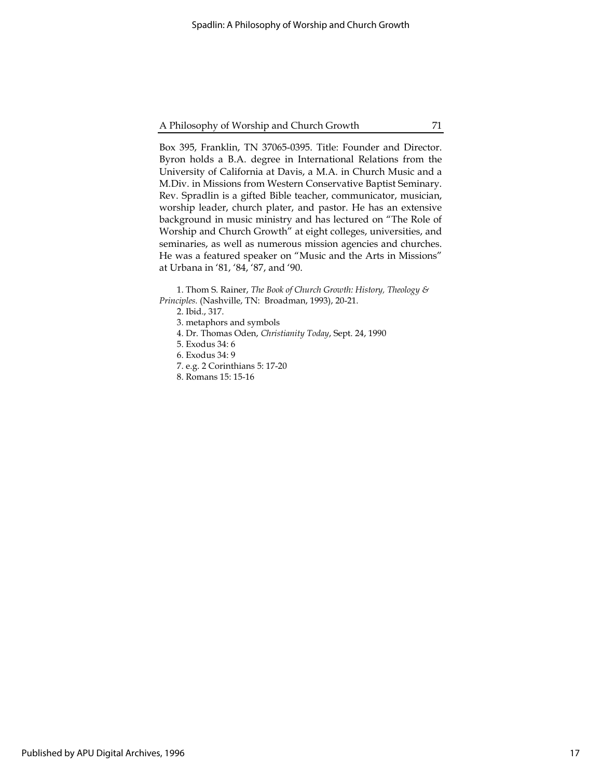Box 395, Franklin, TN 37065-0395. Title: Founder and Director. Byron holds a B.A. degree in International Relations from the University of California at Davis, a M.A. in Church Music and a M.Div. in Missions from Western Conservative Baptist Seminary. Rev. Spradlin is a gifted Bible teacher, communicator, musician, worship leader, church plater, and pastor. He has an extensive background in music ministry and has lectured on "The Role of Worship and Church Growth" at eight colleges, universities, and seminaries, as well as numerous mission agencies and churches. He was a featured speaker on "Music and the Arts in Missions" at Urbana in '81, '84, '87, and '90.

1. Thom S. Rainer, The Book of Church Growth: History, Theology & Principles. (Nashville, TN: Broadman, 1993), 20-21.

2. Ibid., 317.

3. metaphors and symbols

- 4. Dr. Thomas Oden, Christianity Today, Sept. 24, 1990
- 5. Exodus 34: 6
- 6. Exodus 34: 9
- 7. e.g. 2 Corinthians 5: 17-20
- 8. Romans 15: 15-16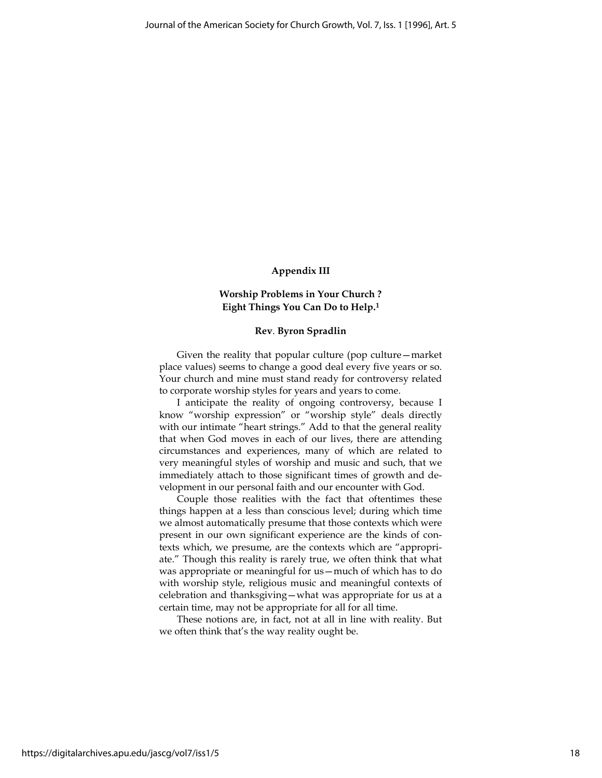## Appendix III

## Worship Problems in Your Church ? Eight Things You Can Do to Help.<sup>1</sup>

#### Rev. Byron Spradlin

Given the reality that popular culture (pop culture—market place values) seems to change a good deal every five years or so. Your church and mine must stand ready for controversy related to corporate worship styles for years and years to come.

I anticipate the reality of ongoing controversy, because I know "worship expression" or "worship style" deals directly with our intimate "heart strings." Add to that the general reality that when God moves in each of our lives, there are attending circumstances and experiences, many of which are related to very meaningful styles of worship and music and such, that we immediately attach to those significant times of growth and development in our personal faith and our encounter with God.

Couple those realities with the fact that oftentimes these things happen at a less than conscious level; during which time we almost automatically presume that those contexts which were present in our own significant experience are the kinds of contexts which, we presume, are the contexts which are "appropriate." Though this reality is rarely true, we often think that what was appropriate or meaningful for us—much of which has to do with worship style, religious music and meaningful contexts of celebration and thanksgiving—what was appropriate for us at a certain time, may not be appropriate for all for all time.

These notions are, in fact, not at all in line with reality. But we often think that's the way reality ought be.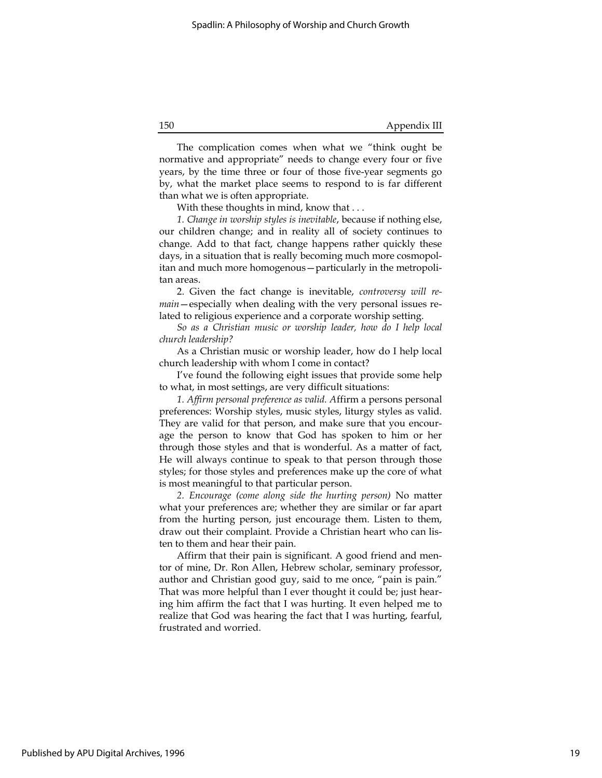The complication comes when what we "think ought be normative and appropriate" needs to change every four or five years, by the time three or four of those five-year segments go by, what the market place seems to respond to is far different than what we is often appropriate.

With these thoughts in mind, know that ...

1. Change in worship styles is inevitable, because if nothing else, our children change; and in reality all of society continues to change. Add to that fact, change happens rather quickly these days, in a situation that is really becoming much more cosmopolitan and much more homogenous—particularly in the metropolitan areas.

2. Given the fact change is inevitable, controversy will remain—especially when dealing with the very personal issues related to religious experience and a corporate worship setting.

So as a Christian music or worship leader, how do I help local church leadership?

As a Christian music or worship leader, how do I help local church leadership with whom I come in contact?

I've found the following eight issues that provide some help to what, in most settings, are very difficult situations:

1. Affirm personal preference as valid. Affirm a persons personal preferences: Worship styles, music styles, liturgy styles as valid. They are valid for that person, and make sure that you encourage the person to know that God has spoken to him or her through those styles and that is wonderful. As a matter of fact, He will always continue to speak to that person through those styles; for those styles and preferences make up the core of what is most meaningful to that particular person.

2. Encourage (come along side the hurting person) No matter what your preferences are; whether they are similar or far apart from the hurting person, just encourage them. Listen to them, draw out their complaint. Provide a Christian heart who can listen to them and hear their pain.

Affirm that their pain is significant. A good friend and mentor of mine, Dr. Ron Allen, Hebrew scholar, seminary professor, author and Christian good guy, said to me once, "pain is pain." That was more helpful than I ever thought it could be; just hearing him affirm the fact that I was hurting. It even helped me to realize that God was hearing the fact that I was hurting, fearful, frustrated and worried.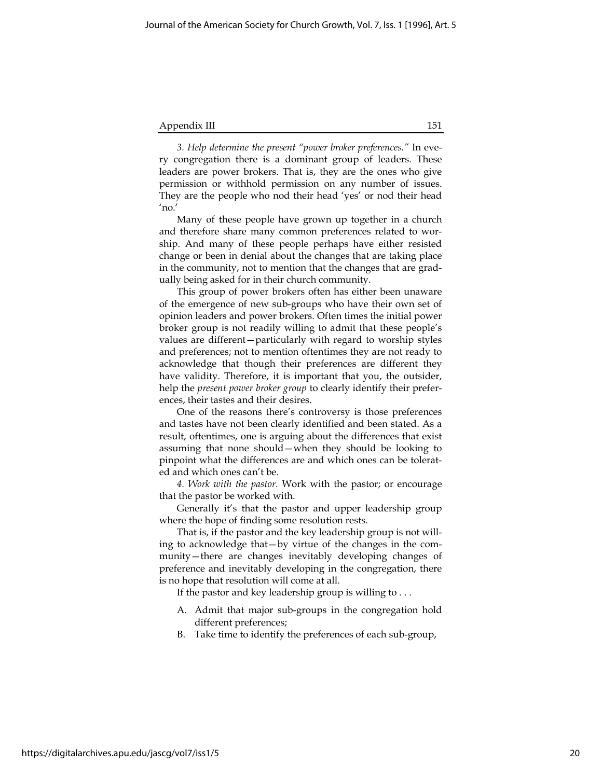## Appendix III 151

3. Help determine the present "power broker preferences." In every congregation there is a dominant group of leaders. These leaders are power brokers. That is, they are the ones who give permission or withhold permission on any number of issues. They are the people who nod their head 'yes' or nod their head 'no.'

Many of these people have grown up together in a church and therefore share many common preferences related to worship. And many of these people perhaps have either resisted change or been in denial about the changes that are taking place in the community, not to mention that the changes that are gradually being asked for in their church community.

This group of power brokers often has either been unaware of the emergence of new sub-groups who have their own set of opinion leaders and power brokers. Often times the initial power broker group is not readily willing to admit that these people's values are different—particularly with regard to worship styles and preferences; not to mention oftentimes they are not ready to acknowledge that though their preferences are different they have validity. Therefore, it is important that you, the outsider, help the *present power broker group* to clearly identify their preferences, their tastes and their desires.

One of the reasons there's controversy is those preferences and tastes have not been clearly identified and been stated. As a result, oftentimes, one is arguing about the differences that exist assuming that none should—when they should be looking to pinpoint what the differences are and which ones can be tolerated and which ones can't be.

4. Work with the pastor. Work with the pastor; or encourage that the pastor be worked with.

Generally it's that the pastor and upper leadership group where the hope of finding some resolution rests.

That is, if the pastor and the key leadership group is not willing to acknowledge that—by virtue of the changes in the community—there are changes inevitably developing changes of preference and inevitably developing in the congregation, there is no hope that resolution will come at all.

If the pastor and key leadership group is willing to  $\dots$ 

- A. Admit that major sub-groups in the congregation hold different preferences;
- B. Take time to identify the preferences of each sub-group,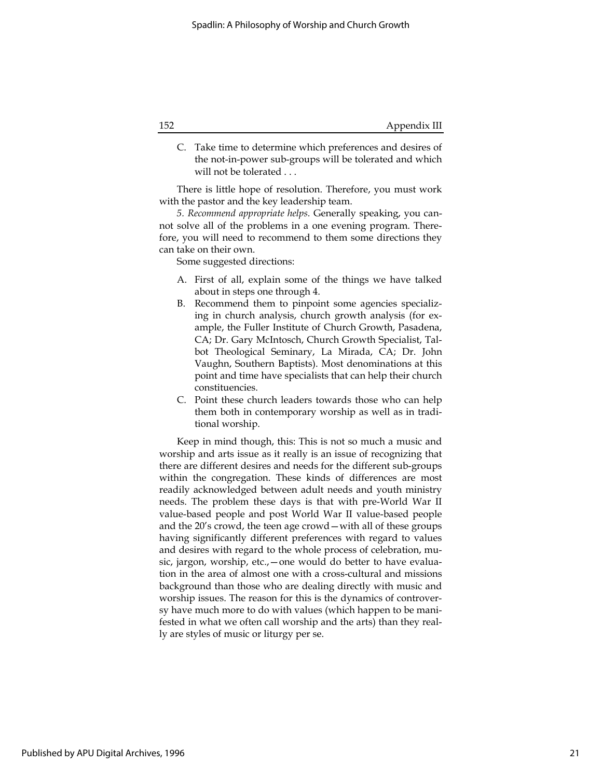C. Take time to determine which preferences and desires of the not-in-power sub-groups will be tolerated and which will not be tolerated . . .

There is little hope of resolution. Therefore, you must work with the pastor and the key leadership team.

5. Recommend appropriate helps. Generally speaking, you cannot solve all of the problems in a one evening program. Therefore, you will need to recommend to them some directions they can take on their own.

Some suggested directions:

- A. First of all, explain some of the things we have talked about in steps one through 4.
- B. Recommend them to pinpoint some agencies specializing in church analysis, church growth analysis (for example, the Fuller Institute of Church Growth, Pasadena, CA; Dr. Gary McIntosch, Church Growth Specialist, Talbot Theological Seminary, La Mirada, CA; Dr. John Vaughn, Southern Baptists). Most denominations at this point and time have specialists that can help their church constituencies.
- C. Point these church leaders towards those who can help them both in contemporary worship as well as in traditional worship.

Keep in mind though, this: This is not so much a music and worship and arts issue as it really is an issue of recognizing that there are different desires and needs for the different sub-groups within the congregation. These kinds of differences are most readily acknowledged between adult needs and youth ministry needs. The problem these days is that with pre-World War II value-based people and post World War II value-based people and the 20's crowd, the teen age crowd—with all of these groups having significantly different preferences with regard to values and desires with regard to the whole process of celebration, music, jargon, worship, etc., – one would do better to have evaluation in the area of almost one with a cross-cultural and missions background than those who are dealing directly with music and worship issues. The reason for this is the dynamics of controversy have much more to do with values (which happen to be manifested in what we often call worship and the arts) than they really are styles of music or liturgy per se.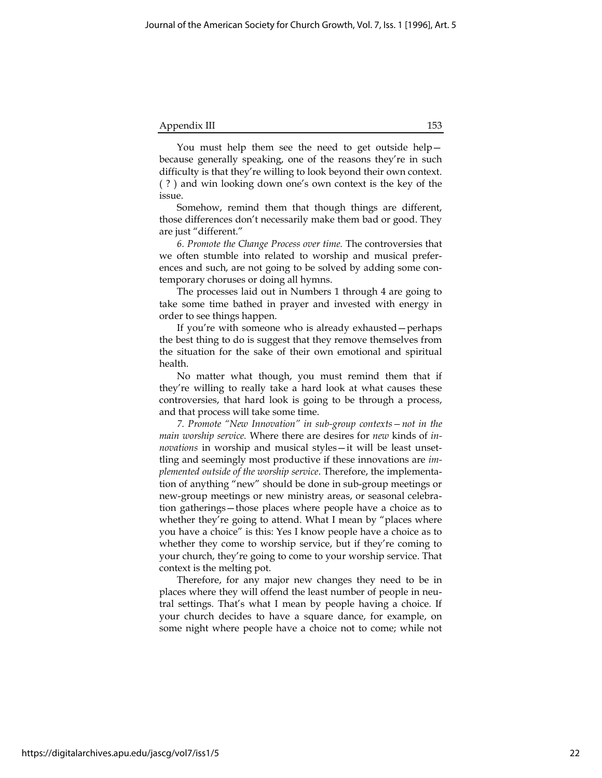| Appendix III |  |
|--------------|--|
|--------------|--|

You must help them see the need to get outside help because generally speaking, one of the reasons they're in such difficulty is that they're willing to look beyond their own context. ( ? ) and win looking down one's own context is the key of the issue.

Somehow, remind them that though things are different, those differences don't necessarily make them bad or good. They are just "different."

6. Promote the Change Process over time. The controversies that we often stumble into related to worship and musical preferences and such, are not going to be solved by adding some contemporary choruses or doing all hymns.

The processes laid out in Numbers 1 through 4 are going to take some time bathed in prayer and invested with energy in order to see things happen.

If you're with someone who is already exhausted—perhaps the best thing to do is suggest that they remove themselves from the situation for the sake of their own emotional and spiritual health.

No matter what though, you must remind them that if they're willing to really take a hard look at what causes these controversies, that hard look is going to be through a process, and that process will take some time.

7. Promote "New Innovation" in sub-group contexts—not in the main worship service. Where there are desires for new kinds of innovations in worship and musical styles—it will be least unsettling and seemingly most productive if these innovations are implemented outside of the worship service. Therefore, the implementation of anything "new" should be done in sub-group meetings or new-group meetings or new ministry areas, or seasonal celebration gatherings—those places where people have a choice as to whether they're going to attend. What I mean by "places where you have a choice" is this: Yes I know people have a choice as to whether they come to worship service, but if they're coming to your church, they're going to come to your worship service. That context is the melting pot.

Therefore, for any major new changes they need to be in places where they will offend the least number of people in neutral settings. That's what I mean by people having a choice. If your church decides to have a square dance, for example, on some night where people have a choice not to come; while not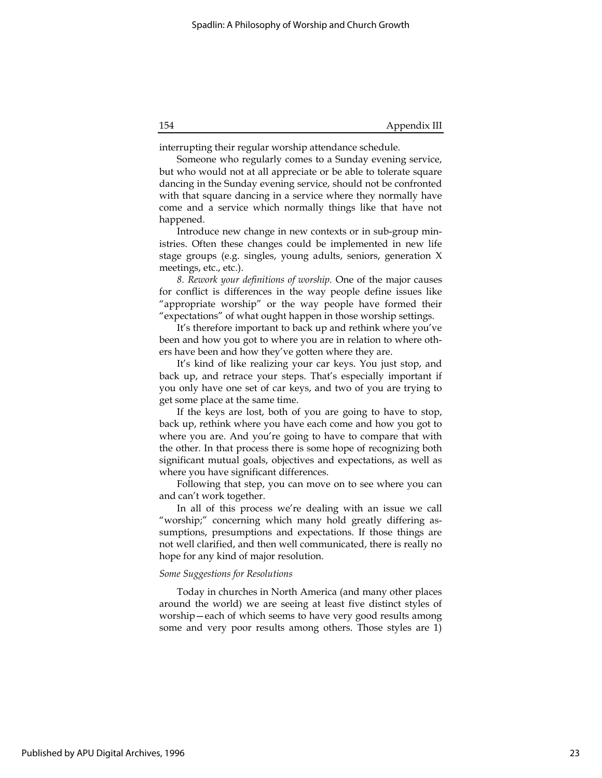interrupting their regular worship attendance schedule.

Someone who regularly comes to a Sunday evening service, but who would not at all appreciate or be able to tolerate square dancing in the Sunday evening service, should not be confronted with that square dancing in a service where they normally have come and a service which normally things like that have not happened.

Introduce new change in new contexts or in sub-group ministries. Often these changes could be implemented in new life stage groups (e.g. singles, young adults, seniors, generation X meetings, etc., etc.).

8. Rework your definitions of worship. One of the major causes for conflict is differences in the way people define issues like "appropriate worship" or the way people have formed their "expectations" of what ought happen in those worship settings.

It's therefore important to back up and rethink where you've been and how you got to where you are in relation to where others have been and how they've gotten where they are.

It's kind of like realizing your car keys. You just stop, and back up, and retrace your steps. That's especially important if you only have one set of car keys, and two of you are trying to get some place at the same time.

If the keys are lost, both of you are going to have to stop, back up, rethink where you have each come and how you got to where you are. And you're going to have to compare that with the other. In that process there is some hope of recognizing both significant mutual goals, objectives and expectations, as well as where you have significant differences.

Following that step, you can move on to see where you can and can't work together.

In all of this process we're dealing with an issue we call "worship;" concerning which many hold greatly differing assumptions, presumptions and expectations. If those things are not well clarified, and then well communicated, there is really no hope for any kind of major resolution.

#### Some Suggestions for Resolutions

Today in churches in North America (and many other places around the world) we are seeing at least five distinct styles of worship—each of which seems to have very good results among some and very poor results among others. Those styles are 1)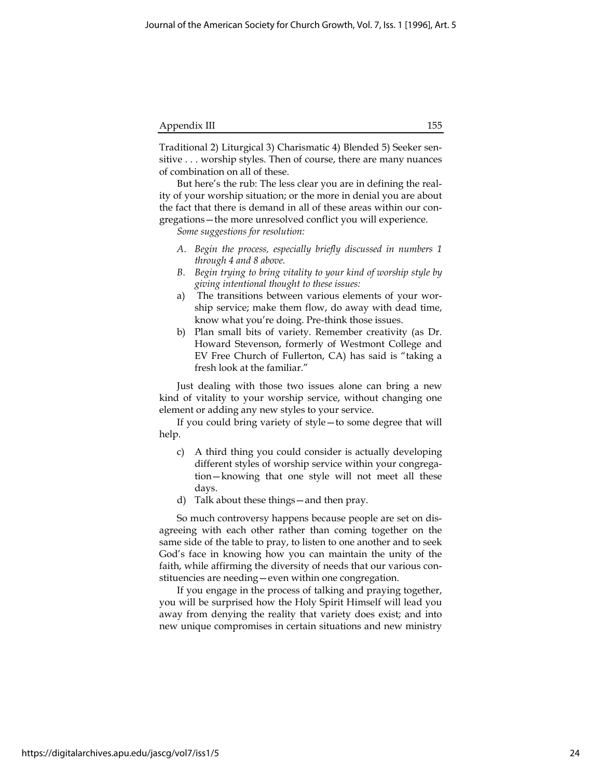| 155. |
|------|
|      |

Traditional 2) Liturgical 3) Charismatic 4) Blended 5) Seeker sensitive . . . worship styles. Then of course, there are many nuances of combination on all of these.

But here's the rub: The less clear you are in defining the reality of your worship situation; or the more in denial you are about the fact that there is demand in all of these areas within our congregations—the more unresolved conflict you will experience.

Some suggestions for resolution:

- A. Begin the process, especially briefly discussed in numbers 1 through 4 and 8 above.
- B. Begin trying to bring vitality to your kind of worship style by giving intentional thought to these issues:
- a) The transitions between various elements of your worship service; make them flow, do away with dead time, know what you're doing. Pre-think those issues.
- b) Plan small bits of variety. Remember creativity (as Dr. Howard Stevenson, formerly of Westmont College and EV Free Church of Fullerton, CA) has said is "taking a fresh look at the familiar."

Just dealing with those two issues alone can bring a new kind of vitality to your worship service, without changing one element or adding any new styles to your service.

If you could bring variety of style—to some degree that will help.

- c) A third thing you could consider is actually developing different styles of worship service within your congregation—knowing that one style will not meet all these days.
- d) Talk about these things—and then pray.

So much controversy happens because people are set on disagreeing with each other rather than coming together on the same side of the table to pray, to listen to one another and to seek God's face in knowing how you can maintain the unity of the faith, while affirming the diversity of needs that our various constituencies are needing—even within one congregation.

If you engage in the process of talking and praying together, you will be surprised how the Holy Spirit Himself will lead you away from denying the reality that variety does exist; and into new unique compromises in certain situations and new ministry